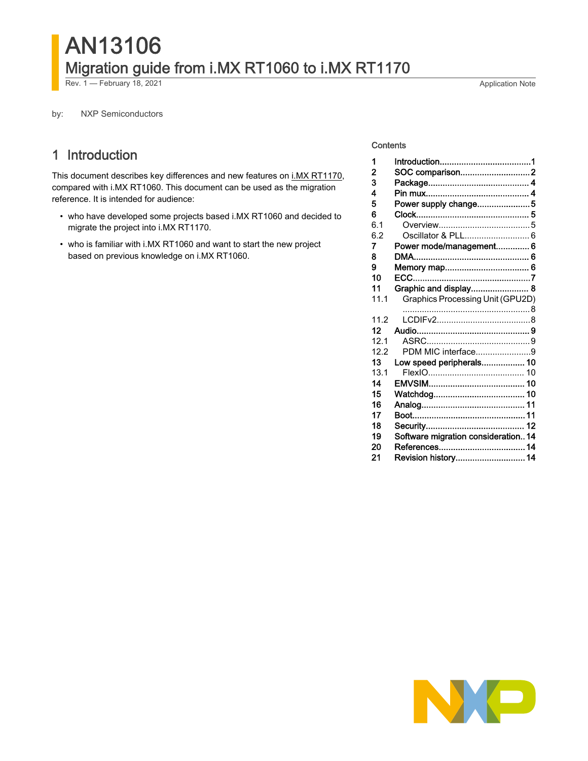# AN13106 Migration guide from i.MX RT1060 to i.MX RT1170

Rev. 1 — February 18, 2021 **Application Note** 

by: NXP Semiconductors

# 1 Introduction

This document describes key differences and new features on [i.MX RT1170](https://www.nxp.com/products/processors-and-microcontrollers/arm-microcontrollers/i-mx-rt-crossover-mcus/i-mx-rt1170-crossover-mcu-family-first-ghz-mcu-with-arm-cortex-m7-and-cortex-m4-cores:i.MX-RT1170?utm_medium=AN-2021), compared with i.MX RT1060. This document can be used as the migration reference. It is intended for audience:

- who have developed some projects based i.MX RT1060 and decided to migrate the project into i.MX RT1170.
- who is familiar with i.MX RT1060 and want to start the new project based on previous knowledge on i.MX RT1060.

#### **Contents**

| 1              |                                     |
|----------------|-------------------------------------|
| $\overline{2}$ | SOC comparison2                     |
| 3              |                                     |
| 4              |                                     |
| 5              | Power supply change5                |
| 6              |                                     |
| 6.1            |                                     |
| 6.2            |                                     |
| 7              | Power mode/management 6             |
| 8              |                                     |
| 9              |                                     |
| 10             |                                     |
| 11             | Graphic and display 8               |
| 11.1           | Graphics Processing Unit (GPU2D)    |
|                |                                     |
|                |                                     |
| 11.2           |                                     |
| 12             |                                     |
| 12.1           |                                     |
| 12.2           | PDM MIC interface9                  |
| 13             | Low speed peripherals 10            |
| 13.1           |                                     |
| 14             |                                     |
| 15             |                                     |
| 16             |                                     |
| 17             |                                     |
| 18             |                                     |
| 19             | Software migration consideration 14 |
| 20             |                                     |

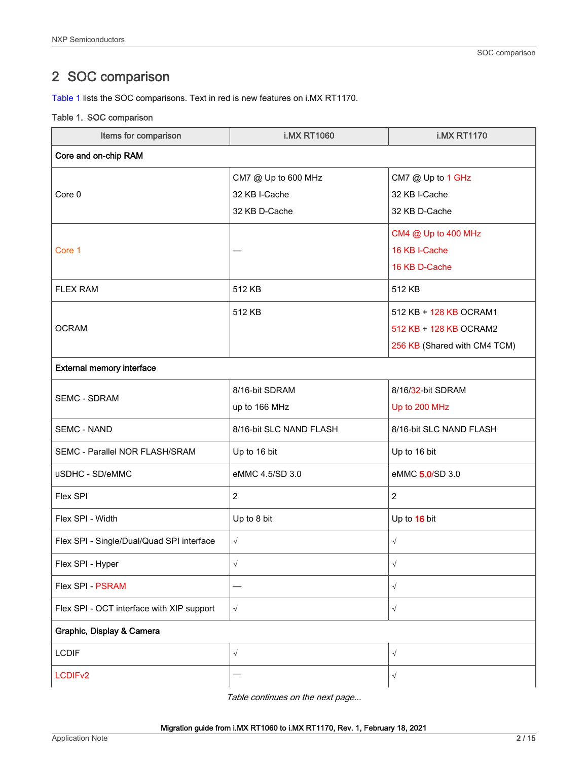# <span id="page-1-0"></span>2 SOC comparison

Table 1 lists the SOC comparisons. Text in red is new features on i.MX RT1170.

#### Table 1. SOC comparison

| Items for comparison                      | <b>i.MX RT1060</b>      | <b>i.MX RT1170</b>           |  |
|-------------------------------------------|-------------------------|------------------------------|--|
| Core and on-chip RAM                      |                         |                              |  |
|                                           | CM7 @ Up to 600 MHz     | CM7 @ Up to 1 GHz            |  |
| Core 0                                    | 32 KB I-Cache           | 32 KB I-Cache                |  |
|                                           | 32 KB D-Cache           | 32 KB D-Cache                |  |
|                                           |                         | CM4 @ Up to 400 MHz          |  |
| Core 1                                    |                         | 16 KB I-Cache                |  |
|                                           |                         | 16 KB D-Cache                |  |
| <b>FLEX RAM</b>                           | 512 KB                  | 512 KB                       |  |
|                                           | 512 KB                  | 512 KB + 128 KB OCRAM1       |  |
| <b>OCRAM</b>                              |                         | 512 KB + 128 KB OCRAM2       |  |
|                                           |                         | 256 KB (Shared with CM4 TCM) |  |
| <b>External memory interface</b>          |                         |                              |  |
| <b>SEMC - SDRAM</b>                       | 8/16-bit SDRAM          | 8/16/32-bit SDRAM            |  |
|                                           | up to 166 MHz           | Up to 200 MHz                |  |
| <b>SEMC - NAND</b>                        | 8/16-bit SLC NAND FLASH | 8/16-bit SLC NAND FLASH      |  |
| SEMC - Parallel NOR FLASH/SRAM            | Up to 16 bit            | Up to 16 bit                 |  |
| uSDHC - SD/eMMC                           | eMMC 4.5/SD 3.0         | eMMC 5.0/SD 3.0              |  |
| Flex SPI                                  | $\overline{c}$          | $\overline{2}$               |  |
| Flex SPI - Width                          | Up to 8 bit             | Up to 16 bit                 |  |
| Flex SPI - Single/Dual/Quad SPI interface | $\sqrt{}$               | $\sqrt{}$                    |  |
| Flex SPI - Hyper                          | $\sqrt{}$               | √                            |  |
| Flex SPI - PSRAM                          |                         | $\sqrt{}$                    |  |
| Flex SPI - OCT interface with XIP support | $\sqrt{}$               | $\sqrt{ }$                   |  |
| Graphic, Display & Camera                 |                         |                              |  |
| <b>LCDIF</b>                              | $\sqrt{}$               | $\sqrt{}$                    |  |
| LCDIF <sub>v2</sub>                       |                         | $\sqrt{}$                    |  |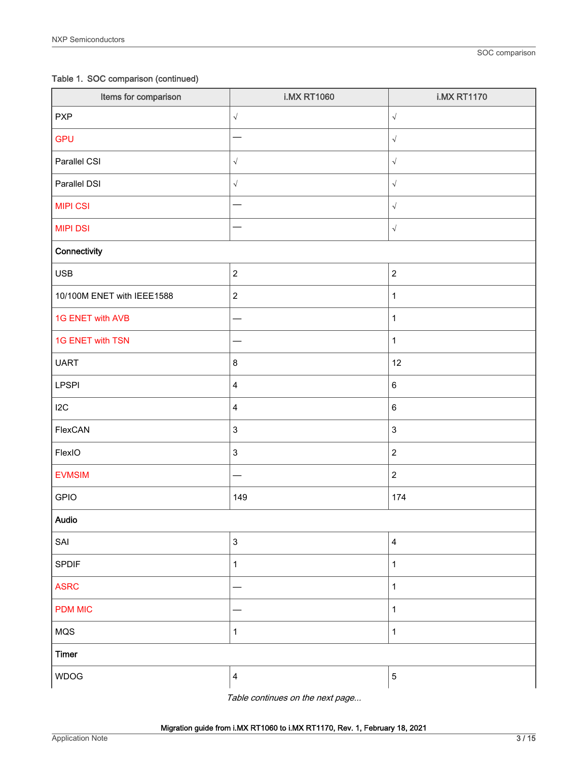Table 1. SOC comparison (continued)

| Items for comparison       | <b>i.MX RT1060</b>        | <b>i.MX RT1170</b>        |
|----------------------------|---------------------------|---------------------------|
| <b>PXP</b>                 | $\sqrt{ }$                | $\sqrt{ }$                |
| <b>GPU</b>                 |                           | $\sqrt{\phantom{a}}$      |
| Parallel CSI               | $\sqrt{ }$                | $\sqrt{\phantom{a}}$      |
| Parallel DSI               | $\sqrt{ }$                | $\sqrt{\phantom{a}}$      |
| <b>MIPI CSI</b>            |                           | $\sqrt{ }$                |
| <b>MIPI DSI</b>            |                           | $\sqrt{\phantom{a}}$      |
| Connectivity               |                           |                           |
| <b>USB</b>                 | $\overline{c}$            | $\mathbf 2$               |
| 10/100M ENET with IEEE1588 | $\boldsymbol{2}$          | $\mathbf{1}$              |
| 1G ENET with AVB           |                           | $\mathbf{1}$              |
| 1G ENET with TSN           |                           | $\mathbf 1$               |
| <b>UART</b>                | $\bf 8$                   | 12                        |
| <b>LPSPI</b>               | 4                         | $\,6\,$                   |
| 12C                        | $\overline{\mathbf{4}}$   | $\,6\,$                   |
| FlexCAN                    | 3                         | $\ensuremath{\mathsf{3}}$ |
| FlexIO                     | 3                         | $\sqrt{2}$                |
| <b>EVMSIM</b>              |                           | $\overline{c}$            |
| <b>GPIO</b>                | 149                       | 174                       |
| Audio                      |                           |                           |
| SAI                        | $\ensuremath{\mathsf{3}}$ | $\overline{4}$            |
| <b>SPDIF</b>               | $\mathbf{1}$              | $\mathbf{1}$              |
| <b>ASRC</b>                |                           | $\mathbf{1}$              |
| <b>PDM MIC</b>             | -                         | $\mathbf{1}$              |
| MQS                        | $\mathbf{1}$              | $\mathbf{1}$              |
| <b>Timer</b>               |                           |                           |
| <b>WDOG</b>                | 4                         | $\,$ 5 $\,$               |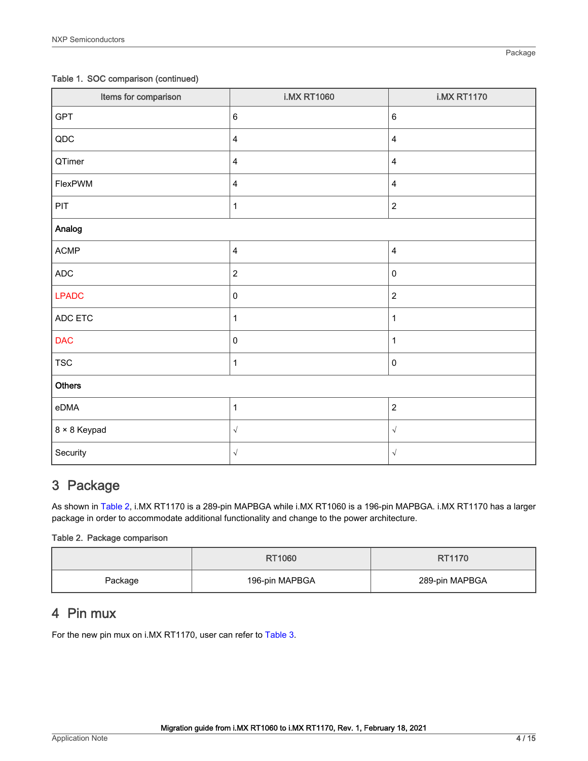#### <span id="page-3-0"></span>Table 1. SOC comparison (continued)

| Items for comparison | <b>i.MX RT1060</b>      | <b>i.MX RT1170</b>      |
|----------------------|-------------------------|-------------------------|
| <b>GPT</b>           | $\,6\,$                 | 6                       |
| $\sf QDC$            | $\overline{\mathbf{4}}$ | $\overline{\mathbf{4}}$ |
| QTimer               | $\overline{\mathbf{4}}$ | $\overline{\mathbf{4}}$ |
| FlexPWM              | $\overline{\mathbf{4}}$ | 4                       |
| PIT                  | $\mathbf{1}$            | $\overline{c}$          |
| Analog               |                         |                         |
| $\mathsf{ACMP}$      | $\overline{\mathbf{4}}$ | $\overline{\mathbf{4}}$ |
| $\sf ADC$            | $\boldsymbol{2}$        | $\mathsf 0$             |
| <b>LPADC</b>         | $\mathbf 0$             | $\overline{c}$          |
| ADC ETC              | $\mathbf{1}$            | $\mathbf{1}$            |
| <b>DAC</b>           | $\pmb{0}$               | $\mathbf 1$             |
| <b>TSC</b>           | $\mathbf{1}$            | $\pmb{0}$               |
| <b>Others</b>        |                         |                         |
| eDMA                 | $\mathbf{1}$            | $\overline{c}$          |
| 8 × 8 Keypad         | $\sqrt{ }$              | $\sqrt{ }$              |
| Security             | $\sqrt{}$               | $\sqrt{ }$              |

# 3 Package

As shown in Table 2, i.MX RT1170 is a 289-pin MAPBGA while i.MX RT1060 is a 196-pin MAPBGA. i.MX RT1170 has a larger package in order to accommodate additional functionality and change to the power architecture.

#### Table 2. Package comparison

|         | RT1060         | RT1170         |
|---------|----------------|----------------|
| Package | 196-pin MAPBGA | 289-pin MAPBGA |

# 4 Pin mux

For the new pin mux on i.MX RT1170, user can refer to [Table 3](#page-4-0).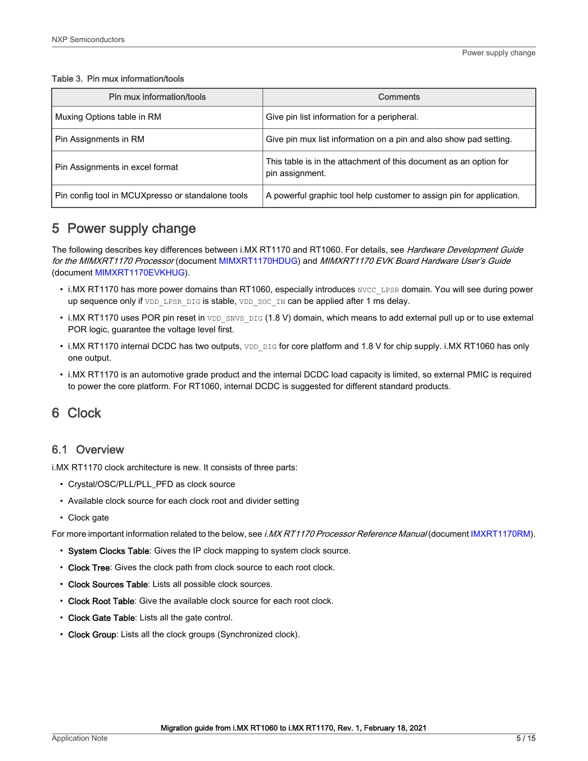<span id="page-4-0"></span>Table 3. Pin mux information/tools

| Pin mux information/tools                         | <b>Comments</b>                                                                      |
|---------------------------------------------------|--------------------------------------------------------------------------------------|
| Muxing Options table in RM                        | Give pin list information for a peripheral.                                          |
| Pin Assignments in RM                             | Give pin mux list information on a pin and also show pad setting.                    |
| Pin Assignments in excel format                   | This table is in the attachment of this document as an option for<br>pin assignment. |
| Pin config tool in MCUXpresso or standalone tools | A powerful graphic tool help customer to assign pin for application.                 |

# 5 Power supply change

The following describes key differences between i.MX RT1170 and RT1060. For details, see Hardware Development Guide for the MIMXRT1170 Processor (document [MIMXRT1170HDUG](https://www.nxp.com.cn/docs/en/user-guide/MIMXRT1170HDUG.pdf)) and MIMXRT1170 EVK Board Hardware User's Guide (document [MIMXRT1170EVKHUG\)](https://www.nxp.com.cn/docs/en/user-guide/MIMXRT1170EVKHUG.pdf).

- i.MX RT1170 has more power domains than RT1060, especially introduces NVCC\_LPSR domain. You will see during power up sequence only if VDD\_LPSR\_DIG is stable, VDD\_SOC\_IN can be applied after 1 ms delay.
- $\cdot$  i.MX RT1170 uses POR pin reset in  $VDD$  SNVS  $DIG$  (1.8 V) domain, which means to add external pull up or to use external POR logic, guarantee the voltage level first.
- i.MX RT1170 internal DCDC has two outputs, VDD DIG for core platform and 1.8 V for chip supply. i.MX RT1060 has only one output.
- i.MX RT1170 is an automotive grade product and the internal DCDC load capacity is limited, so external PMIC is required to power the core platform. For RT1060, internal DCDC is suggested for different standard products.

# 6 Clock

### 6.1 Overview

i.MX RT1170 clock architecture is new. It consists of three parts:

- Crystal/OSC/PLL/PLL\_PFD as clock source
- Available clock source for each clock root and divider setting
- Clock gate

For more important information related to the below, see i.MX RT1170 Processor Reference Manual (document [IMXRT1170RM\)](https://www.nxp.com/docs/en/reference-manual/IMXRT1170RM.pdf).

- System Clocks Table: Gives the IP clock mapping to system clock source.
- Clock Tree: Gives the clock path from clock source to each root clock.
- Clock Sources Table: Lists all possible clock sources.
- Clock Root Table: Give the available clock source for each root clock.
- Clock Gate Table: Lists all the gate control.
- Clock Group: Lists all the clock groups (Synchronized clock).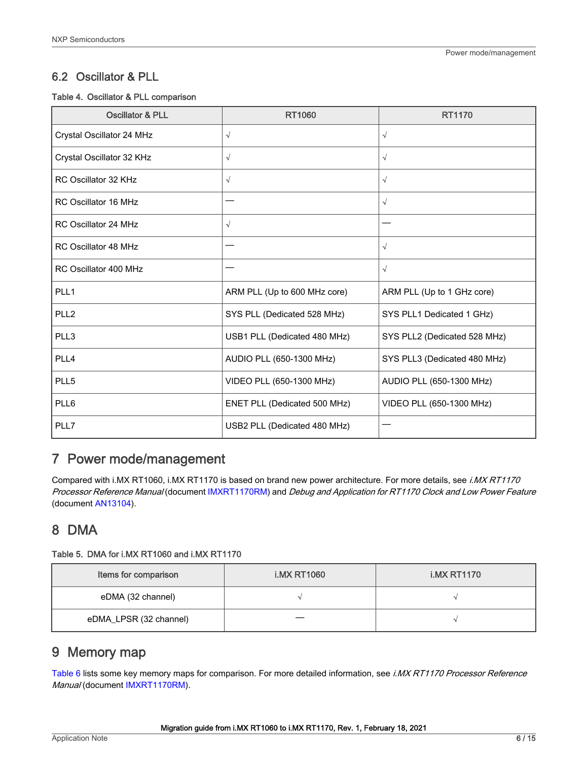### <span id="page-5-0"></span>6.2 Oscillator & PLL

#### Table 4. Oscillator & PLL comparison

| <b>Oscillator &amp; PLL</b> | <b>RT1060</b>                | RT1170                       |
|-----------------------------|------------------------------|------------------------------|
| Crystal Oscillator 24 MHz   | $\sqrt{ }$                   | $\sqrt{}$                    |
| Crystal Oscillator 32 KHz   | $\sqrt{ }$                   | $\sqrt{}$                    |
| RC Oscillator 32 KHz        | $\sqrt{ }$                   | $\sqrt{}$                    |
| <b>RC Oscillator 16 MHz</b> |                              | $\sqrt{}$                    |
| <b>RC Oscillator 24 MHz</b> | $\sqrt{ }$                   |                              |
| <b>RC Oscillator 48 MHz</b> |                              | $\sqrt{}$                    |
| RC Oscillator 400 MHz       |                              | $\sqrt{}$                    |
| PLL1                        | ARM PLL (Up to 600 MHz core) | ARM PLL (Up to 1 GHz core)   |
| PLL <sub>2</sub>            | SYS PLL (Dedicated 528 MHz)  | SYS PLL1 Dedicated 1 GHz)    |
| PLL3                        | USB1 PLL (Dedicated 480 MHz) | SYS PLL2 (Dedicated 528 MHz) |
| PLL4                        | AUDIO PLL (650-1300 MHz)     | SYS PLL3 (Dedicated 480 MHz) |
| PLL5                        | VIDEO PLL (650-1300 MHz)     | AUDIO PLL (650-1300 MHz)     |
| PLL6                        | ENET PLL (Dedicated 500 MHz) | VIDEO PLL (650-1300 MHz)     |
| PLL7                        | USB2 PLL (Dedicated 480 MHz) |                              |

# 7 Power mode/management

Compared with i.MX RT1060, i.MX RT1170 is based on brand new power architecture. For more details, see i.MX RT1170 Processor Reference Manual (document [IMXRT1170RM](https://www.nxp.com/docs/en/reference-manual/IMXRT1170RM.pdf)) and Debug and Application for RT1170 Clock and Low Power Feature (document [AN13104\)](https://www.nxp.com.cn/docs/en/application-note/AN13104.pdf).

# 8 DMA

#### Table 5. DMA for i.MX RT1060 and i.MX RT1170

| Items for comparison   | <b>i.MX RT1060</b> | <b>i.MX RT1170</b> |
|------------------------|--------------------|--------------------|
| eDMA (32 channel)      |                    |                    |
| eDMA_LPSR (32 channel) |                    |                    |

# 9 Memory map

[Table 6](#page-6-0) lists some key memory maps for comparison. For more detailed information, see i.MX RT1170 Processor Reference Manual (document [IMXRT1170RM](https://www.nxp.com/docs/en/reference-manual/IMXRT1170RM.pdf)).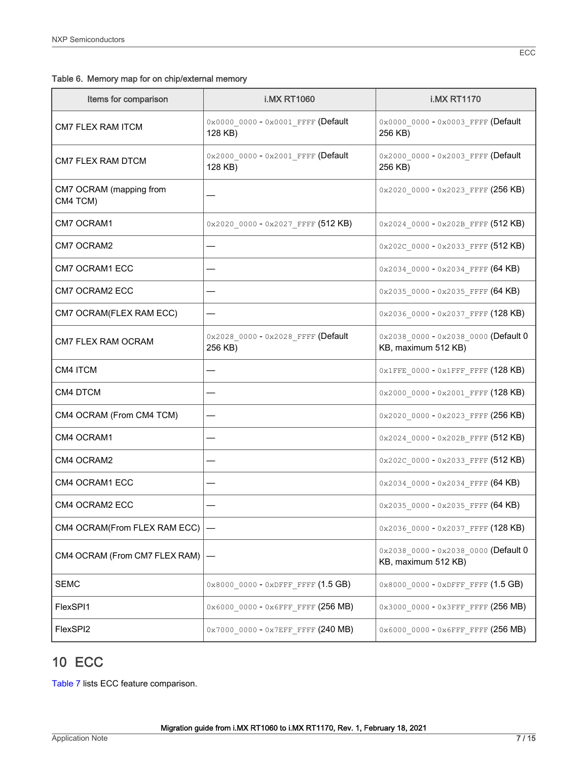<span id="page-6-0"></span>

|  |  | Table 6. Memory map for on chip/external memory |  |
|--|--|-------------------------------------------------|--|
|--|--|-------------------------------------------------|--|

| Items for comparison                | <b>i.MX RT1060</b>                                 | <b>i.MX RT1170</b>                                          |
|-------------------------------------|----------------------------------------------------|-------------------------------------------------------------|
| <b>CM7 FLEX RAM ITCM</b>            | 0x0000 0000 - 0x0001 FFFF (Default<br>128 KB)      | 0x0000 0000 - 0x0003 FFFF (Default<br>256 KB)               |
| <b>CM7 FLEX RAM DTCM</b>            | 0x2000 0000 - 0x2001 FFFF (Default<br>128 KB)      | 0x2000 0000 - 0x2003 FFFF (Default<br>256 KB)               |
| CM7 OCRAM (mapping from<br>CM4 TCM) |                                                    | 0x2020 0000 - 0x2023 FFFF (256 KB)                          |
| CM7 OCRAM1                          | $0x2020$ 0000 - $0x2027$ FFFF (512 KB)             | $0x2024$ 0000 - $0x202B$ FFFF (512 KB)                      |
| CM7 OCRAM2                          |                                                    | 0x202C 0000 - 0x2033 FFFF (512 KB)                          |
| <b>CM7 OCRAM1 ECC</b>               |                                                    | 0x2034 0000 - 0x2034 FFFF (64 KB)                           |
| CM7 OCRAM2 ECC                      |                                                    | $0x20350000 - 0x2035$ FFFF $(64 KB)$                        |
| CM7 OCRAM(FLEX RAM ECC)             |                                                    | 0x2036 0000 - 0x2037 FFFF (128 KB)                          |
| CM7 FLEX RAM OCRAM                  | 0x2028_0000 - 0x2028_FFFF (Default<br>256 KB)      | 0x2038 0000 - 0x2038 0000 (Default 0<br>KB, maximum 512 KB) |
| CM4 ITCM                            |                                                    | $0 \times 1$ FFE_0000 - $0 \times 1$ FFF_FFFF (128 KB)      |
| CM4 DTCM                            |                                                    | $0x2000_00000 - 0x2001$ FFFF (128 KB)                       |
| CM4 OCRAM (From CM4 TCM)            |                                                    | $0x2020$ 0000 - $0x2023$ FFFF (256 KB)                      |
| CM4 OCRAM1                          |                                                    | $0x2024$ 0000 - $0x202B$ FFFF (512 KB)                      |
| CM4 OCRAM2                          |                                                    | 0x202C 0000 - 0x2033 FFFF (512 KB)                          |
| CM4 OCRAM1 ECC                      |                                                    | 0x2034 0000 - 0x2034 FFFF (64 KB)                           |
| CM4 OCRAM2 ECC                      |                                                    | 0x2035_0000 - 0x2035_FFFF (64 KB)                           |
| CM4 OCRAM(From FLEX RAM ECC)        |                                                    | 0x2036 0000 - 0x2037 FFFF (128 KB)                          |
| CM4 OCRAM (From CM7 FLEX RAM)       |                                                    | 0x2038_0000 - 0x2038_0000 (Default 0<br>KB, maximum 512 KB) |
| <b>SEMC</b>                         | $0 \times 8000000 - 0 \times DFFF$ FFFF $(1.5 GB)$ | 0x8000 0000 - 0xDFFF FFFF (1.5 GB)                          |
| FlexSPI1                            | 0x6000 0000 - 0x6FFF FFFF (256 MB)                 | 0x3000 0000 - 0x3FFF FFFF (256 MB)                          |
| FlexSPI2                            | 0x7000 0000 - 0x7EFF FFFF (240 MB)                 | 0x6000 0000 - 0x6FFF FFFF (256 MB)                          |

# 10 ECC

[Table 7](#page-7-0) lists ECC feature comparison.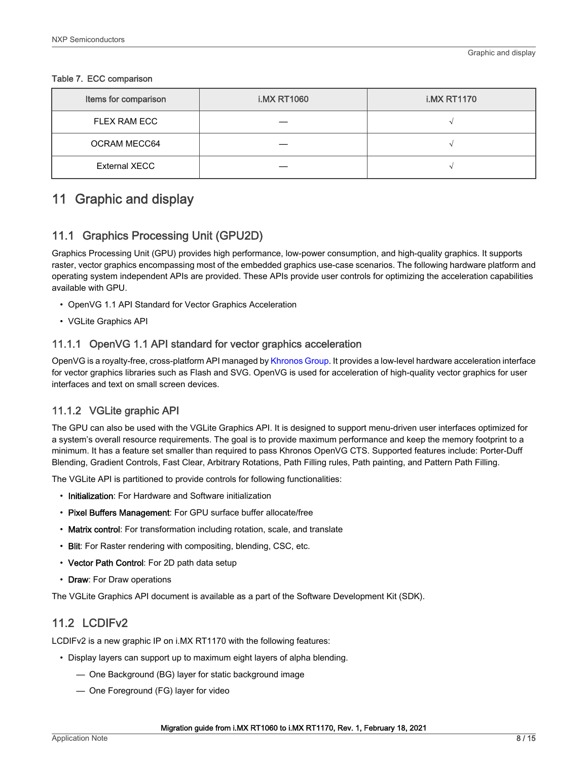| Items for comparison | <b>i.MX RT1060</b> | <b>i.MX RT1170</b> |
|----------------------|--------------------|--------------------|
| FLEX RAM ECC         |                    |                    |
| <b>OCRAM MECC64</b>  |                    |                    |
| <b>External XECC</b> |                    |                    |

#### <span id="page-7-0"></span>Table 7. ECC comparison

# 11 Graphic and display

### 11.1 Graphics Processing Unit (GPU2D)

Graphics Processing Unit (GPU) provides high performance, low-power consumption, and high-quality graphics. It supports raster, vector graphics encompassing most of the embedded graphics use-case scenarios. The following hardware platform and operating system independent APIs are provided. These APIs provide user controls for optimizing the acceleration capabilities available with GPU.

- OpenVG 1.1 API Standard for Vector Graphics Acceleration
- VGLite Graphics API

### 11.1.1 OpenVG 1.1 API standard for vector graphics acceleration

OpenVG is a royalty-free, cross-platform API managed by [Khronos Group](http://www.khronos.org/openvg/). It provides a low-level hardware acceleration interface for vector graphics libraries such as Flash and SVG. OpenVG is used for acceleration of high-quality vector graphics for user interfaces and text on small screen devices.

### 11.1.2 VGLite graphic API

The GPU can also be used with the VGLite Graphics API. It is designed to support menu-driven user interfaces optimized for a system's overall resource requirements. The goal is to provide maximum performance and keep the memory footprint to a minimum. It has a feature set smaller than required to pass Khronos OpenVG CTS. Supported features include: Porter-Duff Blending, Gradient Controls, Fast Clear, Arbitrary Rotations, Path Filling rules, Path painting, and Pattern Path Filling.

The VGLite API is partitioned to provide controls for following functionalities:

- Initialization: For Hardware and Software initialization
- Pixel Buffers Management: For GPU surface buffer allocate/free
- Matrix control: For transformation including rotation, scale, and translate
- Blit: For Raster rendering with compositing, blending, CSC, etc.
- Vector Path Control: For 2D path data setup
- Draw: For Draw operations

The VGLite Graphics API document is available as a part of the Software Development Kit (SDK).

### 11.2 LCDIFv2

LCDIFv2 is a new graphic IP on i.MX RT1170 with the following features:

- Display layers can support up to maximum eight layers of alpha blending.
	- One Background (BG) layer for static background image
	- One Foreground (FG) layer for video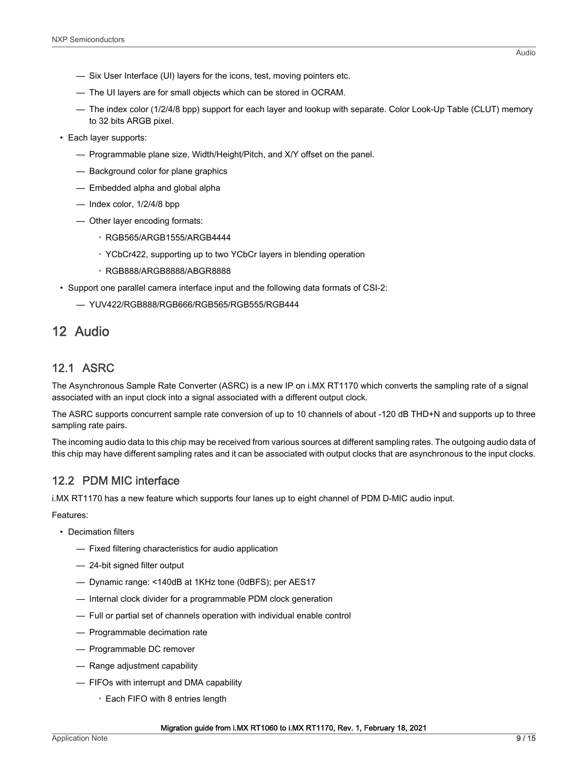- <span id="page-8-0"></span>— Six User Interface (UI) layers for the icons, test, moving pointers etc.
- The UI layers are for small objects which can be stored in OCRAM.
- The index color (1/2/4/8 bpp) support for each layer and lookup with separate. Color Look-Up Table (CLUT) memory to 32 bits ARGB pixel.
- Each layer supports:
	- Programmable plane size, Width/Height/Pitch, and X/Y offset on the panel.
	- Background color for plane graphics
	- Embedded alpha and global alpha
	- Index color, 1/2/4/8 bpp
	- Other layer encoding formats:
		- RGB565/ARGB1555/ARGB4444
		- YCbCr422, supporting up to two YCbCr layers in blending operation
		- RGB888/ARGB8888/ABGR8888
- Support one parallel camera interface input and the following data formats of CSI-2:
	- YUV422/RGB888/RGB666/RGB565/RGB555/RGB444

# 12 Audio

### 12.1 ASRC

The Asynchronous Sample Rate Converter (ASRC) is a new IP on i.MX RT1170 which converts the sampling rate of a signal associated with an input clock into a signal associated with a different output clock.

The ASRC supports concurrent sample rate conversion of up to 10 channels of about -120 dB THD+N and supports up to three sampling rate pairs.

The incoming audio data to this chip may be received from various sources at different sampling rates. The outgoing audio data of this chip may have different sampling rates and it can be associated with output clocks that are asynchronous to the input clocks.

# 12.2 PDM MIC interface

i.MX RT1170 has a new feature which supports four lanes up to eight channel of PDM D-MIC audio input.

Features:

- Decimation filters
	- Fixed filtering characteristics for audio application
	- 24-bit signed filter output
	- Dynamic range: <140dB at 1KHz tone (0dBFS); per AES17
	- Internal clock divider for a programmable PDM clock generation
	- Full or partial set of channels operation with individual enable control
	- Programmable decimation rate
	- Programmable DC remover
	- Range adjustment capability
	- FIFOs with interrupt and DMA capability
		- Each FIFO with 8 entries length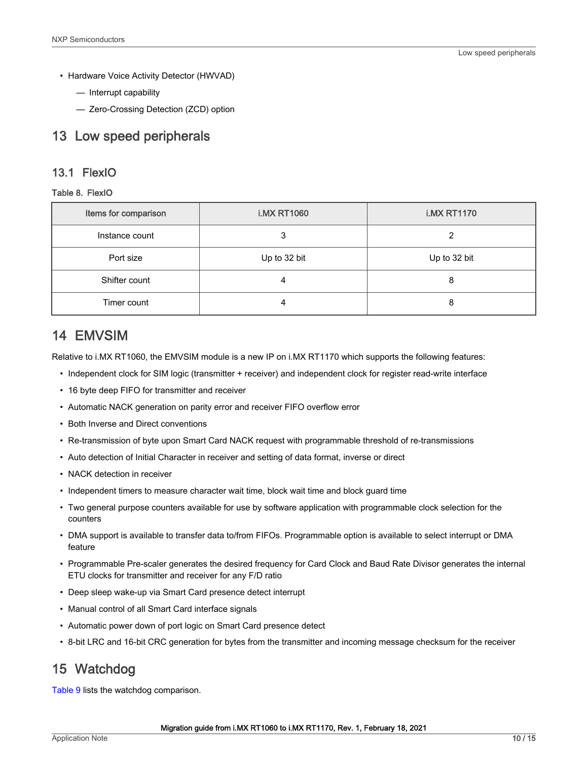- <span id="page-9-0"></span>• Hardware Voice Activity Detector (HWVAD)
	- Interrupt capability
	- Zero-Crossing Detection (ZCD) option

### 13 Low speed peripherals

#### 13.1 FlexIO

#### Table 8. FlexIO

| Items for comparison | <b>i.MX RT1060</b> | <b>i.MX RT1170</b> |
|----------------------|--------------------|--------------------|
| Instance count       |                    |                    |
| Port size            | Up to 32 bit       | Up to 32 bit       |
| Shifter count        |                    | 8                  |
| Timer count          |                    | 8                  |

# 14 EMVSIM

Relative to i.MX RT1060, the EMVSIM module is a new IP on i.MX RT1170 which supports the following features:

- Independent clock for SIM logic (transmitter + receiver) and independent clock for register read-write interface
- 16 byte deep FIFO for transmitter and receiver
- Automatic NACK generation on parity error and receiver FIFO overflow error
- Both Inverse and Direct conventions
- Re-transmission of byte upon Smart Card NACK request with programmable threshold of re-transmissions
- Auto detection of Initial Character in receiver and setting of data format, inverse or direct
- NACK detection in receiver
- Independent timers to measure character wait time, block wait time and block guard time
- Two general purpose counters available for use by software application with programmable clock selection for the counters
- DMA support is available to transfer data to/from FIFOs. Programmable option is available to select interrupt or DMA feature
- Programmable Pre-scaler generates the desired frequency for Card Clock and Baud Rate Divisor generates the internal ETU clocks for transmitter and receiver for any F/D ratio
- Deep sleep wake-up via Smart Card presence detect interrupt
- Manual control of all Smart Card interface signals
- Automatic power down of port logic on Smart Card presence detect
- 8-bit LRC and 16-bit CRC generation for bytes from the transmitter and incoming message checksum for the receiver

# 15 Watchdog

[Table 9](#page-10-0) lists the watchdog comparison.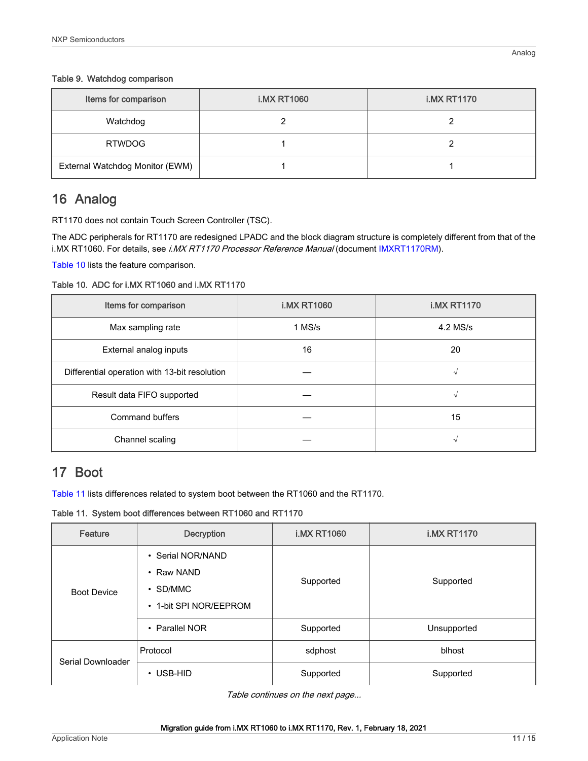#### <span id="page-10-0"></span>Table 9. Watchdog comparison

| Items for comparison            | <b>i.MX RT1060</b> | <b>i.MX RT1170</b> |
|---------------------------------|--------------------|--------------------|
| Watchdog                        |                    |                    |
| <b>RTWDOG</b>                   |                    |                    |
| External Watchdog Monitor (EWM) |                    |                    |

# 16 Analog

RT1170 does not contain Touch Screen Controller (TSC).

The ADC peripherals for RT1170 are redesigned LPADC and the block diagram structure is completely different from that of the i.MX RT1060. For details, see i.MX RT1170 Processor Reference Manual (document [IMXRT1170RM\)](https://www.nxp.com/docs/en/reference-manual/IMXRT1170RM.pdf).

Table 10 lists the feature comparison.

Table 10. ADC for i.MX RT1060 and i.MX RT1170

| Items for comparison                          | <b>i.MX RT1060</b> | <b>i.MX RT1170</b> |
|-----------------------------------------------|--------------------|--------------------|
| Max sampling rate                             | 1 MS/s             | 4.2 MS/s           |
| External analog inputs                        | 16                 | 20                 |
| Differential operation with 13-bit resolution |                    | N                  |
| Result data FIFO supported                    |                    | N                  |
| Command buffers                               |                    | 15                 |
| Channel scaling                               |                    |                    |

# 17 Boot

Table 11 lists differences related to system boot between the RT1060 and the RT1170.

Table 11. System boot differences between RT1060 and RT1170

| Feature                                                                                           | <b>Decryption</b>                | <b>i.MX RT1060</b> | <b>i.MX RT1170</b> |
|---------------------------------------------------------------------------------------------------|----------------------------------|--------------------|--------------------|
| • Serial NOR/NAND<br>• Raw NAND<br>$\cdot$ SD/MMC<br><b>Boot Device</b><br>• 1-bit SPI NOR/EEPROM |                                  | Supported          | Supported          |
|                                                                                                   | <b>Parallel NOR</b><br>$\bullet$ | Supported          | Unsupported        |
| Serial Downloader                                                                                 | Protocol                         | sdphost            | blhost             |
|                                                                                                   | USB-HID<br>$\bullet$             | Supported          | Supported          |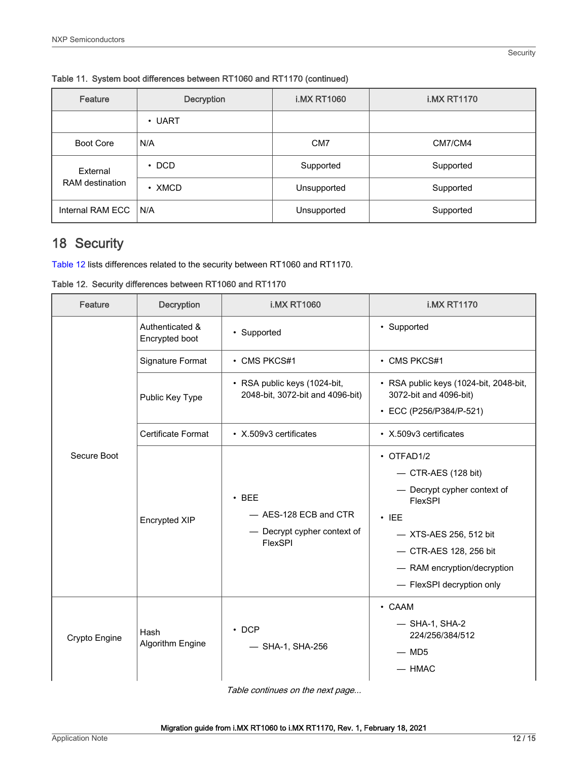| Feature                            | <b>Decryption</b> | <b>i.MX RT1060</b> | <b>i.MX RT1170</b> |
|------------------------------------|-------------------|--------------------|--------------------|
|                                    | $\cdot$ UART      |                    |                    |
| Boot Core                          | N/A               | CM <sub>7</sub>    | CM7/CM4            |
| External<br><b>RAM</b> destination | $\cdot$ DCD       | Supported          | Supported          |
|                                    | $\cdot$ XMCD      | Unsupported        | Supported          |
| Internal RAM ECC                   | N/A               | Unsupported        | Supported          |

<span id="page-11-0"></span>Table 11. System boot differences between RT1060 and RT1170 (continued)

# 18 Security

Table 12 lists differences related to the security between RT1060 and RT1170.

Table 12. Security differences between RT1060 and RT1170

| Feature       | <b>Decryption</b>                 | <b>i.MX RT1060</b>                                                             | <b>i.MX RT1170</b>                                                                                                                                                                                                 |
|---------------|-----------------------------------|--------------------------------------------------------------------------------|--------------------------------------------------------------------------------------------------------------------------------------------------------------------------------------------------------------------|
|               | Authenticated &<br>Encrypted boot | • Supported                                                                    | • Supported                                                                                                                                                                                                        |
|               | Signature Format                  | • CMS PKCS#1                                                                   | • CMS PKCS#1                                                                                                                                                                                                       |
|               | Public Key Type                   | • RSA public keys (1024-bit,<br>2048-bit, 3072-bit and 4096-bit)               | • RSA public keys (1024-bit, 2048-bit,<br>3072-bit and 4096-bit)<br>• ECC (P256/P384/P-521)                                                                                                                        |
|               | <b>Certificate Format</b>         | • X.509v3 certificates                                                         | • X.509v3 certificates                                                                                                                                                                                             |
| Secure Boot   | <b>Encrypted XIP</b>              | $\cdot$ BEE<br>- AES-128 ECB and CTR<br>- Decrypt cypher context of<br>FlexSPI | $\cdot$ OTFAD1/2<br>$-$ CTR-AES (128 bit)<br>- Decrypt cypher context of<br>FlexSPI<br>$\cdot$ IEE<br>- XTS-AES 256, 512 bit<br>- CTR-AES 128, 256 bit<br>- RAM encryption/decryption<br>- FlexSPI decryption only |
| Crypto Engine | Hash<br>Algorithm Engine          | $\cdot$ DCP<br>- SHA-1, SHA-256                                                | • CAAM<br>$-$ SHA-1, SHA-2<br>224/256/384/512<br>$-$ MD5<br>$-$ HMAC                                                                                                                                               |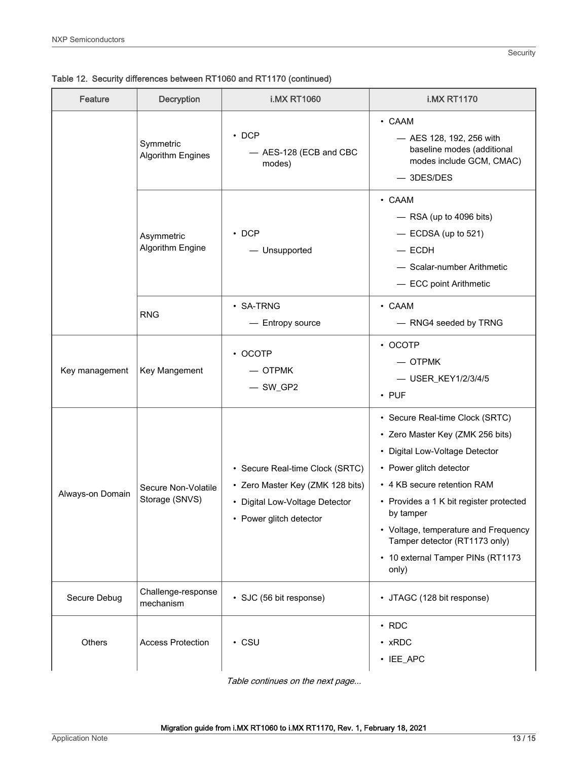Table 12. Security differences between RT1060 and RT1170 (continued)

| <b>Feature</b>   | <b>Decryption</b>                     | <b>i.MX RT1060</b>                                                                                                               | <b>i.MX RT1170</b>                                                                                                                                                                                                                                                                                                                             |
|------------------|---------------------------------------|----------------------------------------------------------------------------------------------------------------------------------|------------------------------------------------------------------------------------------------------------------------------------------------------------------------------------------------------------------------------------------------------------------------------------------------------------------------------------------------|
|                  | Symmetric<br><b>Algorithm Engines</b> | $\cdot$ DCP<br>- AES-128 (ECB and CBC<br>modes)                                                                                  | $\cdot$ CAAM<br>- AES 128, 192, 256 with<br>baseline modes (additional<br>modes include GCM, CMAC)<br>$-$ 3DES/DES                                                                                                                                                                                                                             |
|                  | Asymmetric<br>Algorithm Engine        | $\cdot$ DCP<br>- Unsupported                                                                                                     | $\cdot$ CAAM<br>$-$ RSA (up to 4096 bits)<br>$-$ ECDSA (up to 521)<br>$-$ ECDH<br>- Scalar-number Arithmetic<br>- ECC point Arithmetic                                                                                                                                                                                                         |
|                  | <b>RNG</b>                            | $\cdot$ SA-TRNG<br>- Entropy source                                                                                              | $\cdot$ CAAM<br>- RNG4 seeded by TRNG                                                                                                                                                                                                                                                                                                          |
| Key management   | Key Mangement                         | $\cdot$ OCOTP<br>$-$ OTPMK<br>$-$ SW_GP2                                                                                         | $\cdot$ OCOTP<br>$-$ OTPMK<br>- USER_KEY1/2/3/4/5<br>$\cdot$ PUF                                                                                                                                                                                                                                                                               |
| Always-on Domain | Secure Non-Volatile<br>Storage (SNVS) | • Secure Real-time Clock (SRTC)<br>• Zero Master Key (ZMK 128 bits)<br>• Digital Low-Voltage Detector<br>• Power glitch detector | • Secure Real-time Clock (SRTC)<br>• Zero Master Key (ZMK 256 bits)<br>• Digital Low-Voltage Detector<br>• Power glitch detector<br>• 4 KB secure retention RAM<br>• Provides a 1 K bit register protected<br>by tamper<br>• Voltage, temperature and Frequency<br>Tamper detector (RT1173 only)<br>• 10 external Tamper PINs (RT1173<br>only) |
| Secure Debug     | Challenge-response<br>mechanism       | · SJC (56 bit response)                                                                                                          | • JTAGC (128 bit response)                                                                                                                                                                                                                                                                                                                     |
| Others           | <b>Access Protection</b>              | $\cdot$ CSU                                                                                                                      | $\cdot$ RDC<br>$\cdot$ xRDC<br>· IEE_APC                                                                                                                                                                                                                                                                                                       |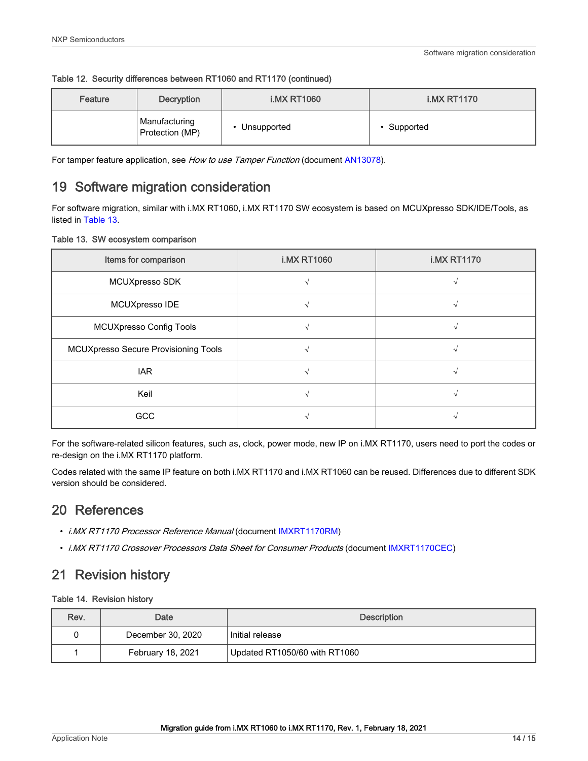<span id="page-13-0"></span>

|  | Table 12. Security differences between RT1060 and RT1170 (continued) |  |  |  |
|--|----------------------------------------------------------------------|--|--|--|
|--|----------------------------------------------------------------------|--|--|--|

| Feature | Decryption                       | <b>i.MX RT1060</b> | <b>i.MX RT1170</b> |
|---------|----------------------------------|--------------------|--------------------|
|         | Manufacturing<br>Protection (MP) | • Unsupported      | Supported          |

For tamper feature application, see How to use Tamper Function (document [AN13078\)](https://www.nxp.com.cn/docs/en/application-note/AN13078.pdf).

# 19 Software migration consideration

For software migration, similar with i.MX RT1060, i.MX RT1170 SW ecosystem is based on MCUXpresso SDK/IDE/Tools, as listed in Table 13.

|  |  |  | Table 13. SW ecosystem comparison |  |  |
|--|--|--|-----------------------------------|--|--|
|--|--|--|-----------------------------------|--|--|

| Items for comparison                 | <b>i.MX RT1060</b> | <b>i.MX RT1170</b> |
|--------------------------------------|--------------------|--------------------|
| MCUXpresso SDK                       |                    |                    |
| MCUXpresso IDE                       |                    |                    |
| <b>MCUXpresso Config Tools</b>       |                    |                    |
| MCUXpresso Secure Provisioning Tools |                    |                    |
| <b>IAR</b>                           |                    |                    |
| Keil                                 |                    |                    |
| GCC                                  |                    |                    |

For the software-related silicon features, such as, clock, power mode, new IP on i.MX RT1170, users need to port the codes or re-design on the i.MX RT1170 platform.

Codes related with the same IP feature on both i.MX RT1170 and i.MX RT1060 can be reused. Differences due to different SDK version should be considered.

# 20 References

- i.MX RT1170 Processor Reference Manual (document [IMXRT1170RM](https://www.nxp.com/docs/en/reference-manual/IMXRT1170RM.pdf))
- i.MX RT1170 Crossover Processors Data Sheet for Consumer Products (document [IMXRT1170CEC\)](https://www.nxp.com/docs/en/data-sheet/IMXRT1170CEC.pdf)

# 21 Revision history

#### Table 14. Revision history

| Rev. | Date              | <b>Description</b>            |
|------|-------------------|-------------------------------|
|      | December 30, 2020 | Initial release               |
|      | February 18, 2021 | Updated RT1050/60 with RT1060 |